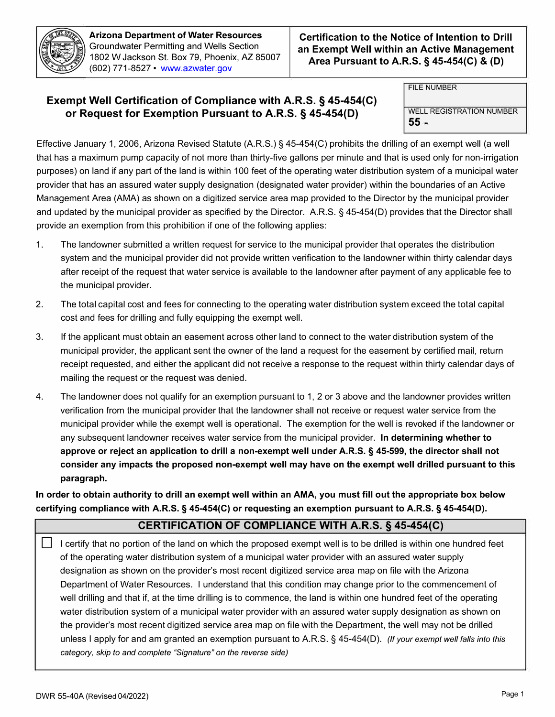

**Arizona Department of Water Resources**  Groundwater Permitting and Wells Section 1802 W Jackson St. Box 79, Phoenix, AZ 85007 (602) 771-8527 • www.azwater.gov

## **Exempt Well Certification of Compliance with A.R.S. § 45-454(C) or Request for Exemption Pursuant to A.R.S. § 45-454(D)**  $\overline{W_{\text{L}}^{\text{WELL REGISTRATION NUMBER}}}$

FILE NUMBER

**55** 

Effective January 1, 2006, Arizona Revised Statute (A.R.S.) § 45-454(C) prohibits the drilling of an exempt well (a well that has a maximum pump capacity of not more than thirty-five gallons per minute and that is used only for non-irrigation purposes) on land if any part of the land is within 100 feet of the operating water distribution system of a municipal water provider that has an assured water supply designation (designated water provider) within the boundaries of an Active Management Area (AMA) as shown on a digitized service area map provided to the Director by the municipal provider and updated by the municipal provider as specified by the Director. A.R.S. § 45-454(0) provides that the Director shall provide an exemption from this prohibition if one of the following applies:

- 1. The landowner submitted a written request for service to the municipal provider that operates the distribution system and the municipal provider did not provide written verification to the landowner within thirty calendar days after receipt of the request that water service is available to the landowner after payment of any applicable fee to the municipal provider.
- 2. The total capital cost and fees for connecting to the operating water distribution system exceed the total capital cost and fees for drilling and fully equipping the exempt well.
- 3. If the applicant must obtain an easement across other land to connect to the water distribution system of the municipal provider, the applicant sent the owner of the land a request for the easement by certified mail, return receipt requested, and either the applicant did not receive a response to the request within thirty calendar days of mailing the request or the request was denied.
- 4. The landowner does not qualify for an exemption pursuant to 1, 2 or 3 above and the landowner provides written verification from the municipal provider that the landowner shall not receive or request water service from the municipal provider while the exempt well is operational. The exemption for the well is revoked if the landowner or any subsequent landowner receives water service from the municipal provider. **In determining whether to approve or reject an application to drill a non-exempt well under A.R.S. § 45-599, the director shall not consider any impacts the proposed non-exempt well may have on the exempt well drilled pursuant to this paragraph.**

**In order to obtain authority to drill an exempt well within an AMA, you must fill out the appropriate box below certifying compliance with A.R.S. § 45-454(C) or requesting an exemption pursuant to A.R.S. § 45-454(D).** 

## **CERTIFICATION OF COMPLIANCE WITH A.R.S. § 45-454(C)**

D I certify that no portion of the land on which the proposed exempt well is to be drilled is within one hundred feet of the operating water distribution system of a municipal water provider with an assured water supply designation as shown on the provider's most recent digitized service area map on file with the Arizona Department of Water Resources. I understand that this condition may change prior to the commencement of well drilling and that if, at the time drilling is to commence, the land is within one hundred feet of the operating water distribution system of a municipal water provider with an assured water supply designation as shown on the provider's most recent digitized service area map on file with the Department, the well may not be drilled unless I apply for and am granted an exemption pursuant to A.R.S. § 45-454(0). *(If your exempt well falls into this category, skip to and complete "Signature" on the reverse side)*